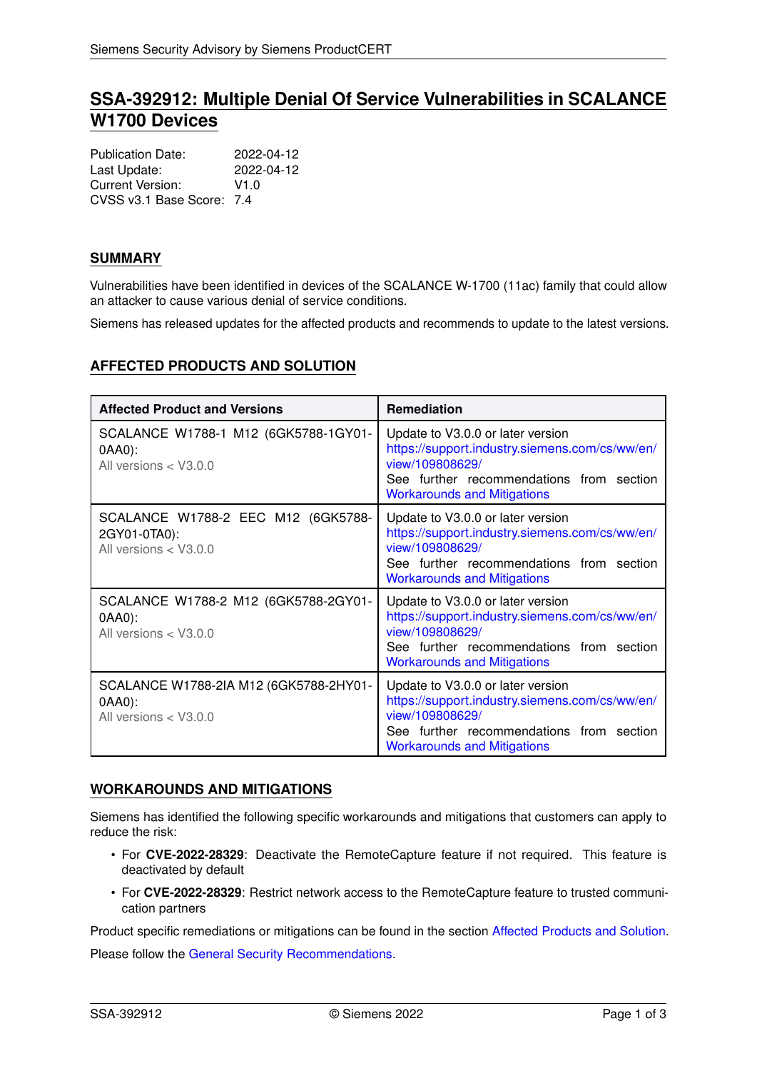# **SSA-392912: Multiple Denial Of Service Vulnerabilities in SCALANCE W1700 Devices**

| <b>Publication Date:</b>  | 2022-04-12       |
|---------------------------|------------------|
| Last Update:              | 2022-04-12       |
| Current Version:          | V <sub>1.0</sub> |
| CVSS v3.1 Base Score: 7.4 |                  |

## **SUMMARY**

Vulnerabilities have been identified in devices of the SCALANCE W-1700 (11ac) family that could allow an attacker to cause various denial of service conditions.

<span id="page-0-1"></span>Siemens has released updates for the affected products and recommends to update to the latest versions.

# **AFFECTED PRODUCTS AND SOLUTION**

| <b>Affected Product and Versions</b>                                        | Remediation                                                                                                                                                                              |
|-----------------------------------------------------------------------------|------------------------------------------------------------------------------------------------------------------------------------------------------------------------------------------|
| SCALANCE W1788-1 M12 (6GK5788-1GY01-<br>0AA0):<br>All versions $<$ V3.0.0   | Update to V3.0.0 or later version<br>https://support.industry.siemens.com/cs/ww/en/<br>view/109808629/<br>See further recommendations from section<br><b>Workarounds and Mitigations</b> |
| SCALANCE W1788-2 EEC M12 (6GK5788-<br>2GY01-0TA0):<br>All versions < V3.0.0 | Update to V3.0.0 or later version<br>https://support.industry.siemens.com/cs/ww/en/<br>view/109808629/<br>See further recommendations from section<br><b>Workarounds and Mitigations</b> |
| SCALANCE W1788-2 M12 (6GK5788-2GY01-<br>0AA0):<br>All versions < V3.0.0     | Update to V3.0.0 or later version<br>https://support.industry.siemens.com/cs/ww/en/<br>view/109808629/<br>See further recommendations from section<br><b>Workarounds and Mitigations</b> |
| SCALANCE W1788-2IA M12 (6GK5788-2HY01-<br>0AA0):<br>All versions $<$ V3.0.0 | Update to V3.0.0 or later version<br>https://support.industry.siemens.com/cs/ww/en/<br>view/109808629/<br>See further recommendations from section<br><b>Workarounds and Mitigations</b> |

# <span id="page-0-0"></span>**WORKAROUNDS AND MITIGATIONS**

Siemens has identified the following specific workarounds and mitigations that customers can apply to reduce the risk:

- For **CVE-2022-28329**: Deactivate the RemoteCapture feature if not required. This feature is deactivated by default
- For **CVE-2022-28329**: Restrict network access to the RemoteCapture feature to trusted communication partners

<span id="page-0-2"></span>Product specific remediations or mitigations can be found in the section [Affected Products and Solution.](#page-0-1) Please follow the [General Security Recommendations.](#page-0-2)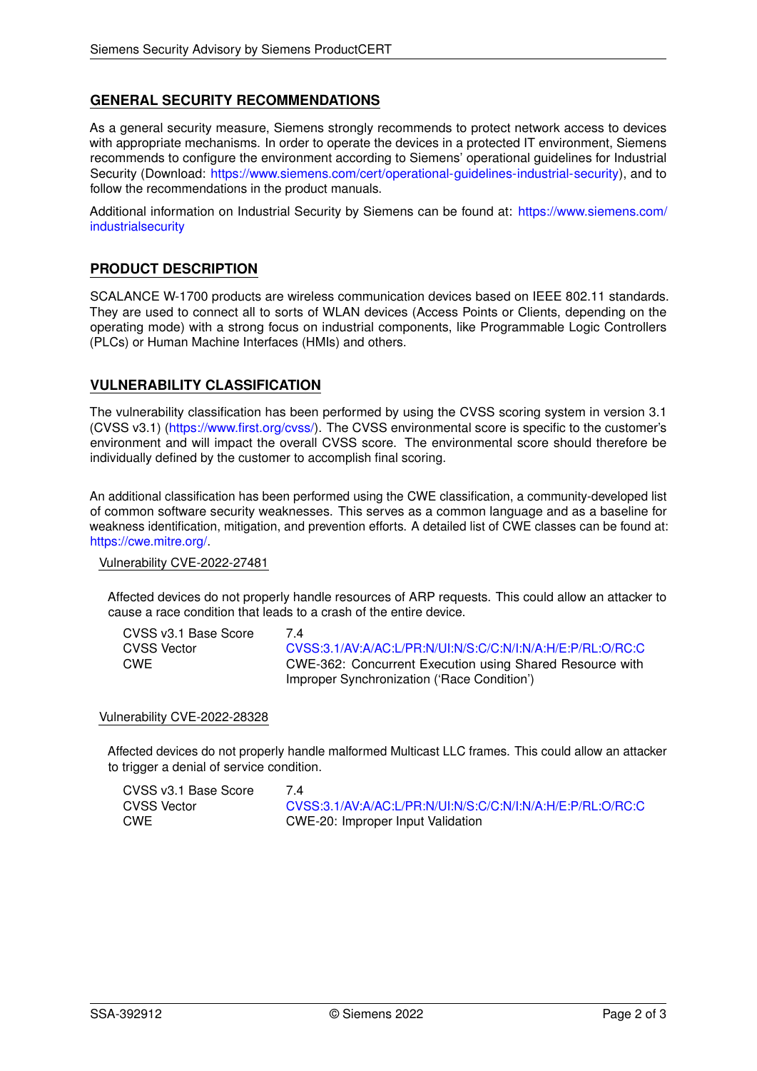# **GENERAL SECURITY RECOMMENDATIONS**

As a general security measure, Siemens strongly recommends to protect network access to devices with appropriate mechanisms. In order to operate the devices in a protected IT environment, Siemens recommends to configure the environment according to Siemens' operational guidelines for Industrial Security (Download: [https://www.siemens.com/cert/operational-guidelines-industrial-security\)](https://www.siemens.com/cert/operational-guidelines-industrial-security), and to follow the recommendations in the product manuals.

Additional information on Industrial Security by Siemens can be found at: [https://www.siemens.com/](https://www.siemens.com/industrialsecurity) [industrialsecurity](https://www.siemens.com/industrialsecurity)

### **PRODUCT DESCRIPTION**

SCALANCE W-1700 products are wireless communication devices based on IEEE 802.11 standards. They are used to connect all to sorts of WLAN devices (Access Points or Clients, depending on the operating mode) with a strong focus on industrial components, like Programmable Logic Controllers (PLCs) or Human Machine Interfaces (HMIs) and others.

### **VULNERABILITY CLASSIFICATION**

The vulnerability classification has been performed by using the CVSS scoring system in version 3.1 (CVSS v3.1) [\(https://www.first.org/cvss/\)](https://www.first.org/cvss/). The CVSS environmental score is specific to the customer's environment and will impact the overall CVSS score. The environmental score should therefore be individually defined by the customer to accomplish final scoring.

An additional classification has been performed using the CWE classification, a community-developed list of common software security weaknesses. This serves as a common language and as a baseline for weakness identification, mitigation, and prevention efforts. A detailed list of CWE classes can be found at: [https://cwe.mitre.org/.](https://cwe.mitre.org/)

Vulnerability CVE-2022-27481

Affected devices do not properly handle resources of ARP requests. This could allow an attacker to cause a race condition that leads to a crash of the entire device.

| CVSS v3.1 Base Score | 74                                                         |
|----------------------|------------------------------------------------------------|
| <b>CVSS Vector</b>   | CVSS:3.1/AV:A/AC:L/PR:N/UI:N/S:C/C:N/I:N/A:H/E:P/RL:O/RC:C |
| <b>CWE</b>           | CWE-362: Concurrent Execution using Shared Resource with   |
|                      | Improper Synchronization ('Race Condition')                |

#### Vulnerability CVE-2022-28328

Affected devices do not properly handle malformed Multicast LLC frames. This could allow an attacker to trigger a denial of service condition.

| CVSS v3.1 Base Score | 74                                                         |
|----------------------|------------------------------------------------------------|
| CVSS Vector          | CVSS:3.1/AV:A/AC:L/PR:N/UI:N/S:C/C:N/I:N/A:H/E:P/RL:O/RC:C |
| CWE                  | CWE-20: Improper Input Validation                          |